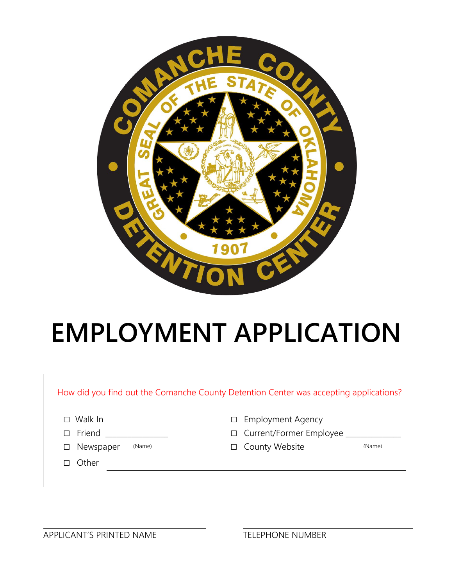

# **EMPLOYMENT APPLICATION**

| Walk In                       | <b>Employment Agency</b> |
|-------------------------------|--------------------------|
| П                             | $\Box$                   |
| Friend                        | Current/Former Employee  |
| П                             | $\Box$                   |
| Newspaper<br>(Name)<br>$\Box$ | County Website<br>(Name) |
| Other                         |                          |

APPLICANT'S PRINTED NAME TELEPHONE NUMBER

 $\Gamma$ 

٦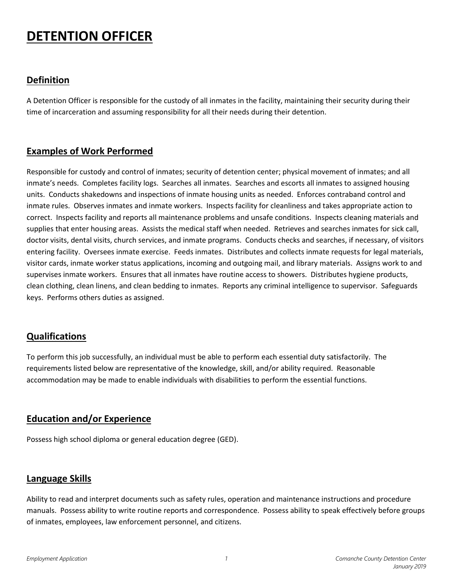## **DETENTION OFFICER**

#### **Definition**

A Detention Officer is responsible for the custody of all inmates in the facility, maintaining their security during their time of incarceration and assuming responsibility for all their needs during their detention.

#### **Examples of Work Performed**

Responsible for custody and control of inmates; security of detention center; physical movement of inmates; and all inmate's needs. Completes facility logs. Searches all inmates. Searches and escorts all inmates to assigned housing units. Conducts shakedowns and inspections of inmate housing units as needed. Enforces contraband control and inmate rules. Observes inmates and inmate workers. Inspects facility for cleanliness and takes appropriate action to correct. Inspects facility and reports all maintenance problems and unsafe conditions. Inspects cleaning materials and supplies that enter housing areas. Assists the medical staff when needed. Retrieves and searches inmates for sick call, doctor visits, dental visits, church services, and inmate programs. Conducts checks and searches, if necessary, of visitors entering facility. Oversees inmate exercise. Feeds inmates. Distributes and collects inmate requests for legal materials, visitor cards, inmate worker status applications, incoming and outgoing mail, and library materials. Assigns work to and supervises inmate workers. Ensures that all inmates have routine access to showers. Distributes hygiene products, clean clothing, clean linens, and clean bedding to inmates. Reports any criminal intelligence to supervisor. Safeguards keys. Performs others duties as assigned.

## **Qualifications**

To perform this job successfully, an individual must be able to perform each essential duty satisfactorily. The requirements listed below are representative of the knowledge, skill, and/or ability required. Reasonable accommodation may be made to enable individuals with disabilities to perform the essential functions.

#### **Education and/or Experience**

Possess high school diploma or general education degree (GED).

#### **Language Skills**

Ability to read and interpret documents such as safety rules, operation and maintenance instructions and procedure manuals. Possess ability to write routine reports and correspondence. Possess ability to speak effectively before groups of inmates, employees, law enforcement personnel, and citizens.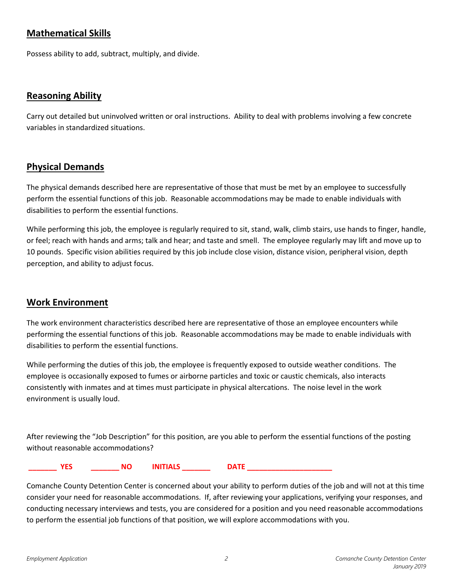#### **Mathematical Skills**

Possess ability to add, subtract, multiply, and divide.

#### **Reasoning Ability**

Carry out detailed but uninvolved written or oral instructions. Ability to deal with problems involving a few concrete variables in standardized situations.

#### **Physical Demands**

The physical demands described here are representative of those that must be met by an employee to successfully perform the essential functions of this job. Reasonable accommodations may be made to enable individuals with disabilities to perform the essential functions.

While performing this job, the employee is regularly required to sit, stand, walk, climb stairs, use hands to finger, handle, or feel; reach with hands and arms; talk and hear; and taste and smell. The employee regularly may lift and move up to 10 pounds. Specific vision abilities required by this job include close vision, distance vision, peripheral vision, depth perception, and ability to adjust focus.

#### **Work Environment**

The work environment characteristics described here are representative of those an employee encounters while performing the essential functions of this job. Reasonable accommodations may be made to enable individuals with disabilities to perform the essential functions.

While performing the duties of this job, the employee is frequently exposed to outside weather conditions. The employee is occasionally exposed to fumes or airborne particles and toxic or caustic chemicals, also interacts consistently with inmates and at times must participate in physical altercations. The noise level in the work environment is usually loud.

After reviewing the "Job Description" for this position, are you able to perform the essential functions of the posting without reasonable accommodations?

**\_\_\_\_\_\_\_ YES \_\_\_\_\_\_\_ NO INITIALS \_\_\_\_\_\_\_ DATE \_\_\_\_\_\_\_\_\_\_\_\_\_\_\_\_\_\_\_\_\_**

Comanche County Detention Center is concerned about your ability to perform duties of the job and will not at this time consider your need for reasonable accommodations. If, after reviewing your applications, verifying your responses, and conducting necessary interviews and tests, you are considered for a position and you need reasonable accommodations to perform the essential job functions of that position, we will explore accommodations with you.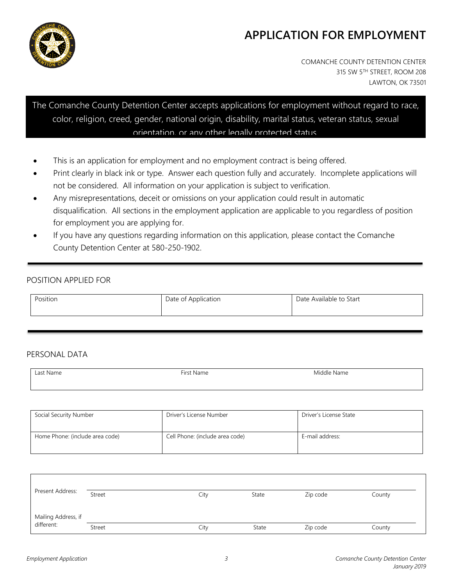![](_page_3_Picture_0.jpeg)

# **APPLICATION FOR EMPLOYMENT**

COMANCHE COUNTY DETENTION CENTER 315 SW 5TH STREET, ROOM 208 LAWTON, OK 73501

The Comanche County Detention Center accepts applications for employment without regard to race, color, religion, creed, gender, national origin, disability, marital status, veteran status, sexual orientation, or any other legally protected status.

- This is an application for employment and no employment contract is being offered.
- Print clearly in black ink or type. Answer each question fully and accurately. Incomplete applications will not be considered. All information on your application is subject to verification.
- Any misrepresentations, deceit or omissions on your application could result in automatic disqualification. All sections in the employment application are applicable to you regardless of position for employment you are applying for.
- If you have any questions regarding information on this application, please contact the Comanche County Detention Center at 580-250-1902.

#### POSITION APPLIED FOR

| Position | Date of Application | Date Available to Start |
|----------|---------------------|-------------------------|
|----------|---------------------|-------------------------|

#### PERSONAL DATA

| Last Name | First Name | Middle Name |
|-----------|------------|-------------|
| .         |            | .           |
|           |            |             |

| Social Security Number          | Driver's License Number         | Driver's License State |
|---------------------------------|---------------------------------|------------------------|
| Home Phone: (include area code) | Cell Phone: (include area code) | E-mail address:        |

| Present Address:                  | Street | City | State | Zip code | County |
|-----------------------------------|--------|------|-------|----------|--------|
| Mailing Address, if<br>different: | Street | City | State | Zip code | County |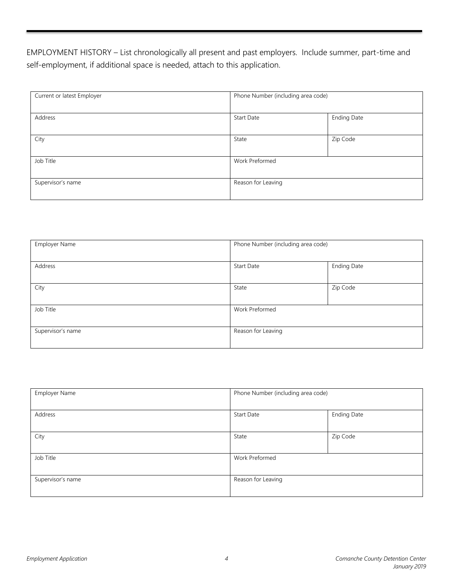EMPLOYMENT HISTORY – List chronologically all present and past employers. Include summer, part-time and self-employment, if additional space is needed, attach to this application.

| Current or latest Employer | Phone Number (including area code) |                    |
|----------------------------|------------------------------------|--------------------|
| Address                    | Start Date                         | <b>Ending Date</b> |
| City                       | State                              | Zip Code           |
| Job Title                  | Work Preformed                     |                    |
| Supervisor's name          | Reason for Leaving                 |                    |

| Employer Name     | Phone Number (including area code) |                    |
|-------------------|------------------------------------|--------------------|
| Address           | <b>Start Date</b>                  | <b>Ending Date</b> |
| City              | State                              | Zip Code           |
| Job Title         | Work Preformed                     |                    |
| Supervisor's name | Reason for Leaving                 |                    |

| Employer Name     | Phone Number (including area code) |                    |
|-------------------|------------------------------------|--------------------|
| Address           | <b>Start Date</b>                  | <b>Ending Date</b> |
| City              | State                              | Zip Code           |
| Job Title         | Work Preformed                     |                    |
| Supervisor's name | Reason for Leaving                 |                    |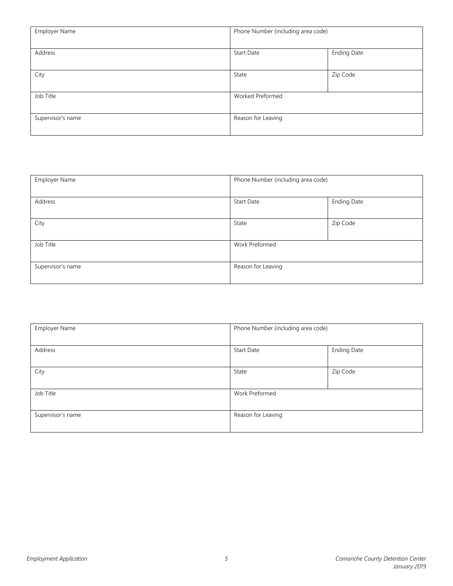| Employer Name     | Phone Number (including area code) |                    |
|-------------------|------------------------------------|--------------------|
| Address           | <b>Start Date</b>                  | <b>Ending Date</b> |
| City              | State                              | Zip Code           |
| Job Title         | Worked Preformed                   |                    |
| Supervisor's name | Reason for Leaving                 |                    |

| Employer Name     | Phone Number (including area code) |                    |
|-------------------|------------------------------------|--------------------|
| Address           | <b>Start Date</b>                  | <b>Ending Date</b> |
| City              | State                              | Zip Code           |
| Job Title         | Work Preformed                     |                    |
| Supervisor's name | Reason for Leaving                 |                    |

| Employer Name     | Phone Number (including area code) |                    |
|-------------------|------------------------------------|--------------------|
|                   |                                    |                    |
| Address           | <b>Start Date</b>                  | <b>Ending Date</b> |
|                   |                                    |                    |
| City              | State                              | Zip Code           |
|                   |                                    |                    |
| Job Title         | Work Preformed                     |                    |
|                   |                                    |                    |
| Supervisor's name | Reason for Leaving                 |                    |
|                   |                                    |                    |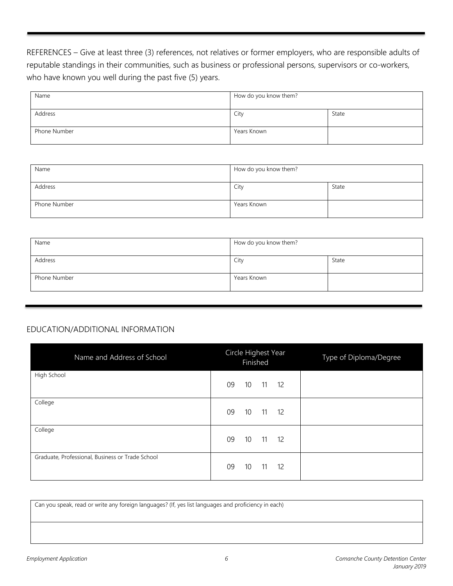REFERENCES – Give at least three (3) references, not relatives or former employers, who are responsible adults of reputable standings in their communities, such as business or professional persons, supervisors or co-workers, who have known you well during the past five (5) years.

| Name         | How do you know them? |       |
|--------------|-----------------------|-------|
| Address      | City                  | State |
| Phone Number | Years Known           |       |

| Name         | How do you know them? |       |
|--------------|-----------------------|-------|
| Address      | City                  | State |
| Phone Number | Years Known           |       |

| Name         | How do you know them? |       |
|--------------|-----------------------|-------|
| Address      | City                  | State |
| Phone Number | Years Known           |       |

#### EDUCATION/ADDITIONAL INFORMATION

| Name and Address of School                       | Circle Highest Year<br>Finished     | Type of Diploma/Degree |
|--------------------------------------------------|-------------------------------------|------------------------|
| High School                                      | 09<br>10 11 12                      |                        |
| College                                          | 10 <sup>°</sup><br>$11 \t 12$<br>09 |                        |
| College                                          | 09<br>10 <sup>°</sup><br>$11$ 12    |                        |
| Graduate, Professional, Business or Trade School | 09<br>10<br>$11 \t 12$              |                        |

Can you speak, read or write any foreign languages? (If, yes list languages and proficiency in each)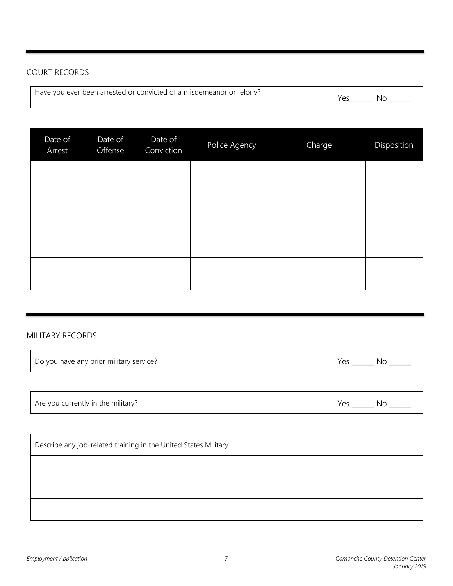## COURT RECORDS

| Have you ever been arrested or convicted of a misdemeanor or felony? | . . |  |
|----------------------------------------------------------------------|-----|--|
|----------------------------------------------------------------------|-----|--|

| Date of<br>Arrest | Date of<br>Offense | Date of<br>Conviction | Police Agency | Charge | Disposition |
|-------------------|--------------------|-----------------------|---------------|--------|-------------|
|                   |                    |                       |               |        |             |
|                   |                    |                       |               |        |             |
|                   |                    |                       |               |        |             |
|                   |                    |                       |               |        |             |

#### MILITARY RECORDS

| Do you have any prior military service? |  | Nι |
|-----------------------------------------|--|----|
|-----------------------------------------|--|----|

| Are you currently in the military? | Nс<br>Y≏c |
|------------------------------------|-----------|
|------------------------------------|-----------|

| Describe any job-related training in the United States Military: |  |
|------------------------------------------------------------------|--|
|                                                                  |  |
|                                                                  |  |
|                                                                  |  |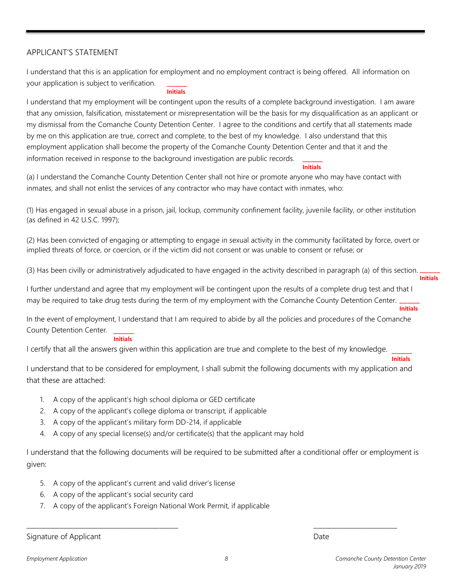#### APPLICANT'S STATEMENT

 $\overline{\phantom{a}}$ I understand that this is an application for employment and no employment contract is being offered. All information on your application is subject to verification.

#### **Initials**

 $\overline{\phantom{a}}$ I understand that my employment will be contingent upon the results of a complete background investigation. I am aware that any omission, falsification, misstatement or misrepresentation will be the basis for my disqualification as an applicant or my dismissal from the Comanche County Detention Center. I agree to the conditions and certify that all statements made by me on this application are true, correct and complete, to the best of my knowledge. I also understand that this employment application shall become the property of the Comanche County Detention Center and that it and the information received in response to the background investigation are public records.

**Initials**

(a) I understand the Comanche County Detention Center shall not hire or promote anyone who may have contact with inmates, and shall not enlist the services of any contractor who may have contact with inmates, who:

(1) Has engaged in sexual abuse in a prison, jail, lockup, community confinement facility, juvenile facility, or other institution (as defined in 42 U.S.C. 1997);

(2) Has been convicted of engaging or attempting to engage in sexual activity in the community facilitated by force, overt or implied threats of force, or coercion, or if the victim did not consent or was unable to consent or refuse; or

 $\overline{\phantom{a}}$ **Initials** (3) Has been civilly or administratively adjudicated to have engaged in the activity described in paragraph (a) of this section.

 $\overline{\phantom{a}}$ I further understand and agree that my employment will be contingent upon the results of a complete drug test and that I may be required to take drug tests during the term of my employment with the Comanche County Detention Center.

**Initials**

 $\overline{\phantom{a}}$ In the event of employment, I understand that I am required to abide by all the policies and procedures of the Comanche County Detention Center.

#### **Initials**

I certify that all the answers given within this application are true and complete to the best of my knowledge.

 $\overline{\phantom{a}}$ **Initials**

I understand that to be considered for employment, I shall submit the following documents with my application and that these are attached:

- 1. A copy of the applicant's high school diploma or GED certificate
- 2. A copy of the applicant's college diploma or transcript, if applicable
- 3. A copy of the applicant's military form DD-214, if applicable
- 4. A copy of any special license(s) and/or certificate(s) that the applicant may hold

I understand that the following documents will be required to be submitted after a conditional offer or employment is given:

- 5. A copy of the applicant's current and valid driver's license
- 6. A copy of the applicant's social security card
- 7. A copy of the applicant's Foreign National Work Permit, if applicable

Signature of Applicant Date of Applicant Date of Applicant Date of Applicant Date of Applicant Date of Applicant Date of Applicant Date of Applicant Date of Applicant Date of Applicant Date of Applicant Date of Applicant D

\_\_\_\_\_\_\_\_\_\_\_\_\_\_\_\_\_\_\_\_\_\_\_\_\_\_\_\_\_\_\_\_\_\_\_\_\_\_\_\_\_\_\_\_\_\_\_ \_\_\_\_\_\_\_\_\_\_\_\_\_\_\_\_\_\_\_\_\_\_\_\_\_\_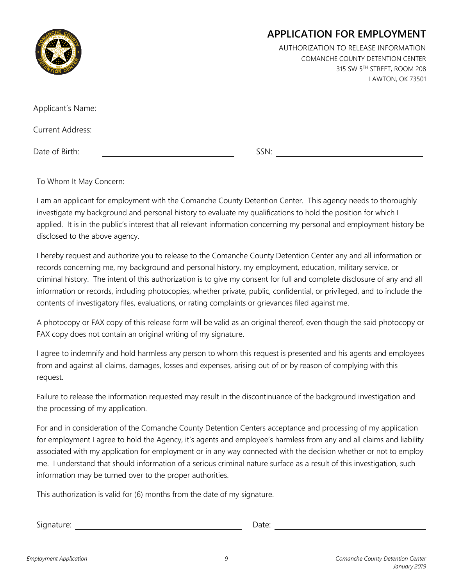|                         | <b>APPLICATION FOR EMPLOYMENT</b>       |
|-------------------------|-----------------------------------------|
|                         | AUTHORIZATION TO RELEASE INFORMATION    |
|                         | <b>COMANCHE COUNTY DETENTION CENTER</b> |
|                         | 315 SW 5TH STREET, ROOM 208             |
|                         | LAWTON, OK 73501                        |
|                         |                                         |
| Applicant's Name:       |                                         |
| <b>Current Address:</b> |                                         |

Date of Birth: SSN:

To Whom It May Concern:

I am an applicant for employment with the Comanche County Detention Center. This agency needs to thoroughly investigate my background and personal history to evaluate my qualifications to hold the position for which I applied. It is in the public's interest that all relevant information concerning my personal and employment history be disclosed to the above agency.

I hereby request and authorize you to release to the Comanche County Detention Center any and all information or records concerning me, my background and personal history, my employment, education, military service, or criminal history. The intent of this authorization is to give my consent for full and complete disclosure of any and all information or records, including photocopies, whether private, public, confidential, or privileged, and to include the contents of investigatory files, evaluations, or rating complaints or grievances filed against me.

A photocopy or FAX copy of this release form will be valid as an original thereof, even though the said photocopy or FAX copy does not contain an original writing of my signature.

I agree to indemnify and hold harmless any person to whom this request is presented and his agents and employees from and against all claims, damages, losses and expenses, arising out of or by reason of complying with this request.

Failure to release the information requested may result in the discontinuance of the background investigation and the processing of my application.

For and in consideration of the Comanche County Detention Centers acceptance and processing of my application for employment I agree to hold the Agency, it's agents and employee's harmless from any and all claims and liability associated with my application for employment or in any way connected with the decision whether or not to employ me. I understand that should information of a serious criminal nature surface as a result of this investigation, such information may be turned over to the proper authorities.

This authorization is valid for (6) months from the date of my signature.

Signature: Date: